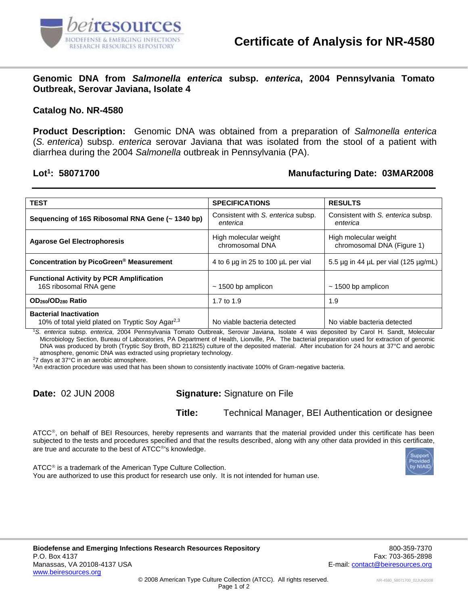

**Genomic DNA from** *Salmonella enterica* **subsp.** *enterica***, 2004 Pennsylvania Tomato Outbreak, Serovar Javiana, Isolate 4**

## **Catalog No. NR-4580**

**Product Description:** Genomic DNA was obtained from a preparation of *Salmonella enterica* (*S. enterica*) subsp. *enterica* serovar Javiana that was isolated from the stool of a patient with diarrhea during the 2004 *Salmonella* outbreak in Pennsylvania (PA).

## Lot<sup>1</sup>: 58071700

## **: 58071700 Manufacturing Date: 03MAR2008**

| <b>TEST</b>                                                                                   | <b>SPECIFICATIONS</b>                          | <b>RESULTS</b>                                      |
|-----------------------------------------------------------------------------------------------|------------------------------------------------|-----------------------------------------------------|
| Sequencing of 16S Ribosomal RNA Gene (~ 1340 bp)                                              | Consistent with S. enterica subsp.<br>enterica | Consistent with S. enterica subsp.<br>enterica      |
| <b>Agarose Gel Electrophoresis</b>                                                            | High molecular weight<br>chromosomal DNA       | High molecular weight<br>chromosomal DNA (Figure 1) |
| Concentration by PicoGreen <sup>®</sup> Measurement                                           | 4 to 6 µg in 25 to 100 µL per vial             | 5.5 $\mu$ g in 44 $\mu$ L per vial (125 $\mu$ g/mL) |
| <b>Functional Activity by PCR Amplification</b><br>16S ribosomal RNA gene                     | $\sim$ 1500 bp amplicon                        | $\sim$ 1500 bp amplicon                             |
| OD <sub>260</sub> /OD <sub>280</sub> Ratio                                                    | 1.7 to 1.9                                     | 1.9                                                 |
| <b>Bacterial Inactivation</b><br>10% of total yield plated on Tryptic Soy Agar <sup>2,3</sup> | No viable bacteria detected                    | No viable bacteria detected                         |

<sup>1</sup>*S. enterica* subsp. *enterica*, 2004 Pennsylvania Tomato Outbreak, Serovar Javiana, Isolate 4 was deposited by Carol H. Sandt, Molecular Microbiology Section, Bureau of Laboratories, PA Department of Health, Lionville, PA. The bacterial preparation used for extraction of genomic DNA was produced by broth (Tryptic Soy Broth, BD 211825) culture of the deposited material. After incubation for 24 hours at 37°C and aerobic atmosphere, genomic DNA was extracted using proprietary technology.

<sup>2</sup>7 days at 37°C in an aerobic atmosphere.

<sup>3</sup>An extraction procedure was used that has been shown to consistently inactivate 100% of Gram-negative bacteria.

**Date:** 02 JUN 2008 **Signature:** Signature on File

**Title:** Technical Manager, BEI Authentication or designee

ATCC®, on behalf of BEI Resources, hereby represents and warrants that the material provided under this certificate has been subjected to the tests and procedures specified and that the results described, along with any other data provided in this certificate, are true and accurate to the best of ATCC®'s knowledge.

ATCC<sup>®</sup> is a trademark of the American Type Culture Collection. You are authorized to use this product for research use only. It is not intended for human use.